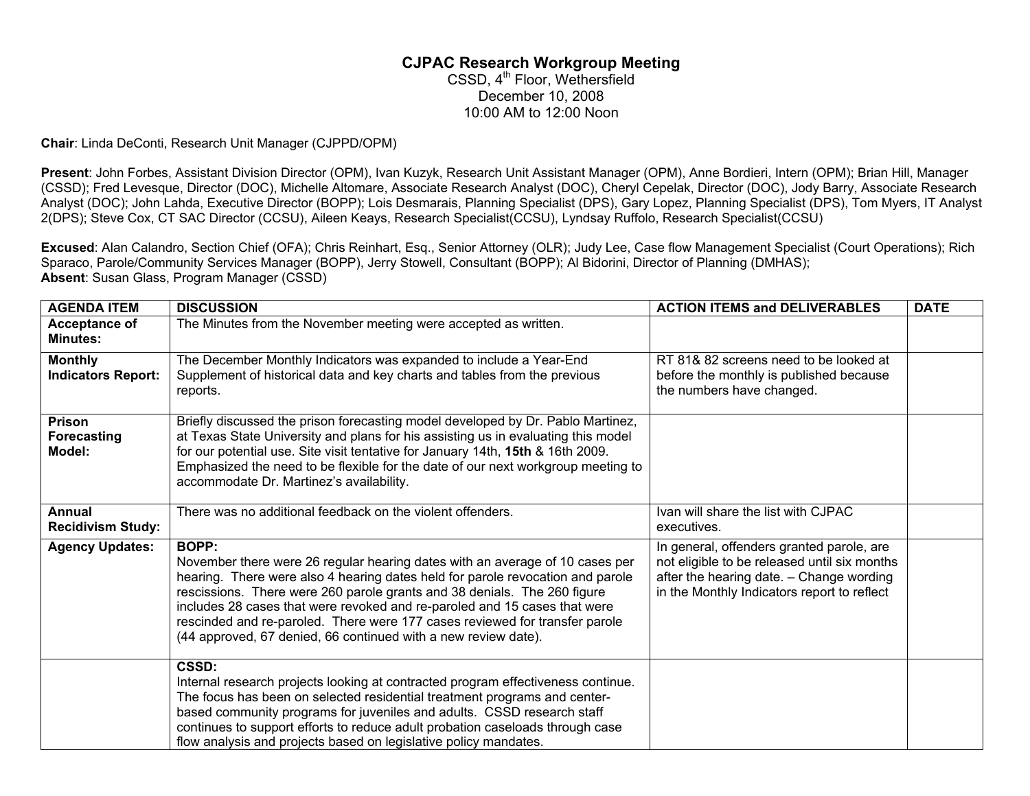## **CJPAC Research Workgroup Meeting**

CSSD, 4<sup>th</sup> Floor, Wethersfield December 10, 2008 10:00 AM to 12:00 Noon

**Chair**: Linda DeConti, Research Unit Manager (CJPPD/OPM)

**Present**: John Forbes, Assistant Division Director (OPM), Ivan Kuzyk, Research Unit Assistant Manager (OPM), Anne Bordieri, Intern (OPM); Brian Hill, Manager (CSSD); Fred Levesque, Director (DOC), Michelle Altomare, Associate Research Analyst (DOC), Cheryl Cepelak, Director (DOC), Jody Barry, Associate Research Analyst (DOC); John Lahda, Executive Director (BOPP); Lois Desmarais, Planning Specialist (DPS), Gary Lopez, Planning Specialist (DPS), Tom Myers, IT Analyst 2(DPS); Steve Cox, CT SAC Director (CCSU), Aileen Keays, Research Specialist(CCSU), Lyndsay Ruffolo, Research Specialist(CCSU)

**Excused**: Alan Calandro, Section Chief (OFA); Chris Reinhart, Esq., Senior Attorney (OLR); Judy Lee, Case flow Management Specialist (Court Operations); Rich Sparaco, Parole/Community Services Manager (BOPP), Jerry Stowell, Consultant (BOPP); Al Bidorini, Director of Planning (DMHAS); **Absent**: Susan Glass, Program Manager (CSSD)

| <b>AGENDA ITEM</b>                          | <b>DISCUSSION</b>                                                                                                                                                                                                                                                                                                                                                                                                                                                                        | <b>ACTION ITEMS and DELIVERABLES</b>                                                                                                                                                 | <b>DATE</b> |
|---------------------------------------------|------------------------------------------------------------------------------------------------------------------------------------------------------------------------------------------------------------------------------------------------------------------------------------------------------------------------------------------------------------------------------------------------------------------------------------------------------------------------------------------|--------------------------------------------------------------------------------------------------------------------------------------------------------------------------------------|-------------|
| Acceptance of<br><b>Minutes:</b>            | The Minutes from the November meeting were accepted as written.                                                                                                                                                                                                                                                                                                                                                                                                                          |                                                                                                                                                                                      |             |
| <b>Monthly</b><br><b>Indicators Report:</b> | The December Monthly Indicators was expanded to include a Year-End<br>Supplement of historical data and key charts and tables from the previous<br>reports.                                                                                                                                                                                                                                                                                                                              | RT 81& 82 screens need to be looked at<br>before the monthly is published because<br>the numbers have changed.                                                                       |             |
| <b>Prison</b><br>Forecasting<br>Model:      | Briefly discussed the prison forecasting model developed by Dr. Pablo Martinez,<br>at Texas State University and plans for his assisting us in evaluating this model<br>for our potential use. Site visit tentative for January 14th, 15th & 16th 2009.<br>Emphasized the need to be flexible for the date of our next workgroup meeting to<br>accommodate Dr. Martinez's availability.                                                                                                  |                                                                                                                                                                                      |             |
| <b>Annual</b><br><b>Recidivism Study:</b>   | There was no additional feedback on the violent offenders.                                                                                                                                                                                                                                                                                                                                                                                                                               | Ivan will share the list with CJPAC<br>executives.                                                                                                                                   |             |
| <b>Agency Updates:</b>                      | <b>BOPP:</b><br>November there were 26 regular hearing dates with an average of 10 cases per<br>hearing. There were also 4 hearing dates held for parole revocation and parole<br>rescissions. There were 260 parole grants and 38 denials. The 260 figure<br>includes 28 cases that were revoked and re-paroled and 15 cases that were<br>rescinded and re-paroled. There were 177 cases reviewed for transfer parole<br>(44 approved, 67 denied, 66 continued with a new review date). | In general, offenders granted parole, are<br>not eligible to be released until six months<br>after the hearing date. - Change wording<br>in the Monthly Indicators report to reflect |             |
|                                             | CSSD:<br>Internal research projects looking at contracted program effectiveness continue.<br>The focus has been on selected residential treatment programs and center-<br>based community programs for juveniles and adults. CSSD research staff<br>continues to support efforts to reduce adult probation caseloads through case<br>flow analysis and projects based on legislative policy mandates.                                                                                    |                                                                                                                                                                                      |             |